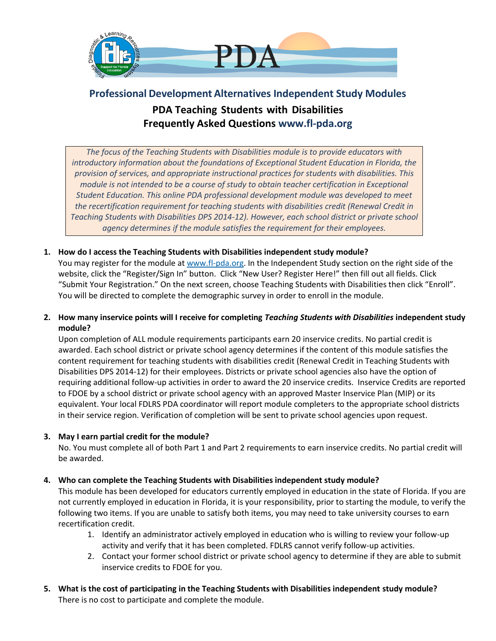

# **Professional Development Alternatives Independent Study Modules PDA Teaching Students with Disabilities Frequently Asked Questions www.fl-pda.org**

*The focus of the Teaching Students with Disabilities module is to provide educators with introductory information about the foundations of Exceptional Student Education in Florida, the provision of services, and appropriate instructional practices for students with disabilities. This module is not intended to be a course of study to obtain teacher certification in Exceptional Student Education. This online PDA professional development module was developed to meet the recertification requirement for teaching students with disabilities credit (Renewal Credit in Teaching Students with Disabilities DPS 2014-12). However, each school district or private school agency determines if the module satisfies the requirement for their employees.*

# **1. How do I access the Teaching Students with Disabilities independent study module?**

You may register for the module a[t www.fl-pda.org.](file:///C:/Users/18490/Downloads/www.fl-pda.org) In the Independent Study section on the right side of the website, click the "Register/Sign In" button. Click "New User? Register Here!" then fill out all fields. Click "Submit Your Registration." On the next screen, choose Teaching Students with Disabilities then click "Enroll". You will be directed to complete the demographic survey in order to enroll in the module.

**2. How many inservice points will I receive for completing** *Teaching Students with Disabilities* **independent study module?**

Upon completion of ALL module requirements participants earn 20 inservice credits. No partial credit is awarded. Each school district or private school agency determines if the content of this module satisfies the content requirement for teaching students with disabilities credit (Renewal Credit in Teaching Students with Disabilities DPS 2014-12) for their employees. Districts or private school agencies also have the option of requiring additional follow-up activities in order to award the 20 inservice credits. Inservice Credits are reported to FDOE by a school district or private school agency with an approved Master Inservice Plan (MIP) or its equivalent. Your local FDLRS PDA coordinator will report module completers to the appropriate school districts in their service region. Verification of completion will be sent to private school agencies upon request.

# **3. May I earn partial credit for the module?**

No. You must complete all of both Part 1 and Part 2 requirements to earn inservice credits. No partial credit will be awarded.

#### **4. Who can complete the Teaching Students with Disabilities independent study module?**

This module has been developed for educators currently employed in education in the state of Florida. If you are not currently employed in education in Florida, it is your responsibility, prior to starting the module, to verify the following two items. If you are unable to satisfy both items, you may need to take university courses to earn recertification credit.

- 1. Identify an administrator actively employed in education who is willing to review your follow-up activity and verify that it has been completed. FDLRS cannot verify follow-up activities.
- 2. Contact your former school district or private school agency to determine if they are able to submit inservice credits to FDOE for you.
- **5. What is the cost of participating in the Teaching Students with Disabilities independent study module?** There is no cost to participate and complete the module.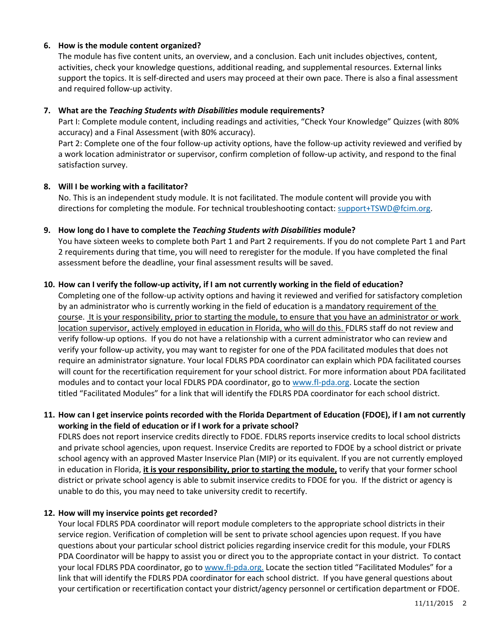#### **6. How is the module content organized?**

The module has five content units, an overview, and a conclusion. Each unit includes objectives, content, activities, check your knowledge questions, additional reading, and supplemental resources. External links support the topics. It is self-directed and users may proceed at their own pace. There is also a final assessment and required follow-up activity.

#### **7. What are the** *Teaching Students with Disabilities* **module requirements?**

Part I: Complete module content, including readings and activities, "Check Your Knowledge" Quizzes (with 80% accuracy) and a Final Assessment (with 80% accuracy).

Part 2: Complete one of the four follow-up activity options, have the follow-up activity reviewed and verified by a work location administrator or supervisor, confirm completion of follow-up activity, and respond to the final satisfaction survey.

#### **8. Will I be working with a facilitator?**

No. This is an independent study module. It is not facilitated. The module content will provide you with directions for completing the module. For technical troubleshooting contact: [support+TSWD@fcim.org.](mailto:support+TSWD@fcim.org)

#### **9. How long do I have to complete the** *Teaching Students with Disabilities* **module?**

You have sixteen weeks to complete both Part 1 and Part 2 requirements. If you do not complete Part 1 and Part 2 requirements during that time, you will need to reregister for the module. If you have completed the final assessment before the deadline, your final assessment results will be saved.

#### **10. How can I verify the follow-up activity, if I am not currently working in the field of education?**

Completing one of the follow-up activity options and having it reviewed and verified for satisfactory completion by an administrator who is currently working in the field of education is a mandatory requirement of the course. It is your responsibility, prior to starting the module, to ensure that you have an administrator or work location supervisor, actively employed in education in Florida, who will do this. FDLRS staff do not review and verify follow-up options. If you do not have a relationship with a current administrator who can review and verify your follow-up activity, you may want to register for one of the PDA facilitated modules that does not require an administrator signature. Your local FDLRS PDA coordinator can explain which PDA facilitated courses will count for the recertification requirement for your school district. For more information about PDA facilitated modules and to contact your local FDLRS PDA coordinator, go to [www.fl-pda.org.](http://www.fl-pda.org/) Locate the section titled "Facilitated Modules" for a link that will identify the FDLRS PDA coordinator for each school district.

# **11. How can I get inservice points recorded with the Florida Department of Education (FDOE), if I am not currently working in the field of education or if I work for a private school?**

FDLRS does not report inservice credits directly to FDOE. FDLRS reports inservice credits to local school districts and private school agencies, upon request. Inservice Credits are reported to FDOE by a school district or private school agency with an approved Master Inservice Plan (MIP) or its equivalent. If you are not currently employed in education in Florida, **it is your responsibility, prior to starting the module,** to verify that your former school district or private school agency is able to submit inservice credits to FDOE for you. If the district or agency is unable to do this, you may need to take university credit to recertify.

#### **12. How will my inservice points get recorded?**

Your local FDLRS PDA coordinator will report module completers to the appropriate school districts in their service region. Verification of completion will be sent to private school agencies upon request. If you have questions about your particular school district policies regarding inservice credit for this module, your FDLRS PDA Coordinator will be happy to assist you or direct you to the appropriate contact in your district. To contact your local FDLRS PDA coordinator, go to [www.fl-pda.org.](http://www.fl-pda.org/) Locate the section titled "Facilitated Modules" for a link that will identify the FDLRS PDA coordinator for each school district. If you have general questions about your certification or recertification contact your district/agency personnel or certification department or FDOE.